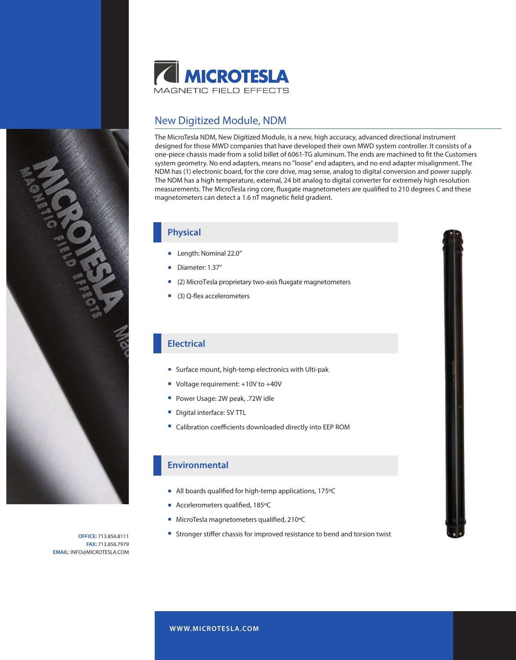

# New Digitized Module, NDM

The MicroTesla NDM, New Digitized Module, is a new, high accuracy, advanced directional instrument designed for those MWD companies that have developed their own MWD system controller. It consists of a one-piece chassis made from a solid billet of 6061-TG aluminum. The ends are machined to fit the Customers system geometry. No end adapters, means no "loose" end adapters, and no end adapter misalignment. The NDM has (1) electronic board, for the core drive, mag sense, analog to digital conversion and power supply. The NDM has a high temperature, external, 24 bit analog to digital converter for extremely high resolution measurements. The MicroTesla ring core, fluxgate magnetometers are qualified to 210 degrees C and these magnetometers can detect a 1.6 nT magnetic field gradient.

### **Physical**

- **Length: Nominal 22.0"**
- Diameter: 1.37"
- (2) MicroTesla proprietary two-axis fluxgate magnetometers
- $(3)$  Q-flex accelerometers

## **Electrical**

- Surface mount, high-temp electronics with Ulti-pak
- Voltage requirement: +10V to +40V
- Power Usage: 2W peak, .72W idle
- **Digital interface: SV TTL**
- Calibration coefficients downloaded directly into EEP ROM

### **Environmental**

- All boards qualified for high-temp applications,  $175^{\circ}$ C
- Accelerometers qualified, 185°C
- $\blacksquare$  MicroTesla magnetometers qualified, 210 $\rm ^oC$
- **Stronger stiffer chassis for improved resistance to bend and torsion twist**



**OFFICE:** 713.856.8111 **FAX:** 713.856.7979 **EMAIL:** INFO@MICROTESLA.COM

**W WW.MICROTESLA.COM**